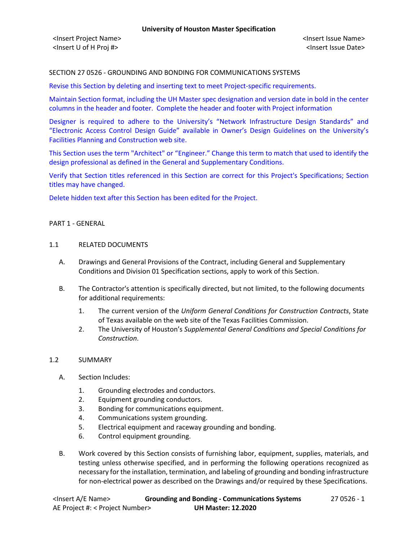# SECTION 27 0526 - GROUNDING AND BONDING FOR COMMUNICATIONS SYSTEMS

Revise this Section by deleting and inserting text to meet Project-specific requirements.

Maintain Section format, including the UH Master spec designation and version date in bold in the center columns in the header and footer. Complete the header and footer with Project information

Designer is required to adhere to the University's "Network Infrastructure Design Standards" and "Electronic Access Control Design Guide" available in Owner's Design Guidelines on the University's Facilities Planning and Construction web site.

This Section uses the term "Architect" or "Engineer." Change this term to match that used to identify the design professional as defined in the General and Supplementary Conditions.

Verify that Section titles referenced in this Section are correct for this Project's Specifications; Section titles may have changed.

Delete hidden text after this Section has been edited for the Project.

#### PART 1 - GENERAL

#### 1.1 RELATED DOCUMENTS

- A. Drawings and General Provisions of the Contract, including General and Supplementary Conditions and Division 01 Specification sections, apply to work of this Section.
- B. The Contractor's attention is specifically directed, but not limited, to the following documents for additional requirements:
	- 1. The current version of the *Uniform General Conditions for Construction Contracts*, State of Texas available on the web site of the Texas Facilities Commission.
	- 2. The University of Houston's *Supplemental General Conditions and Special Conditions for Construction*.

### 1.2 SUMMARY

- A. Section Includes:
	- 1. Grounding electrodes and conductors.
	- 2. Equipment grounding conductors.
	- 3. Bonding for communications equipment.
	- 4. Communications system grounding.
	- 5. Electrical equipment and raceway grounding and bonding.
	- 6. Control equipment grounding.
- B. Work covered by this Section consists of furnishing labor, equipment, supplies, materials, and testing unless otherwise specified, and in performing the following operations recognized as necessary for the installation, termination, and labeling of grounding and bonding infrastructure for non-electrical power as described on the Drawings and/or required by these Specifications.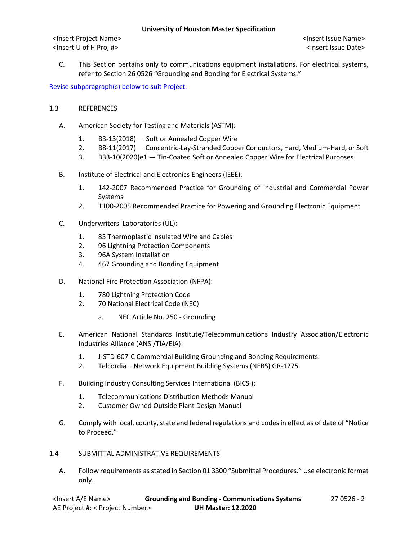<Insert Project Name> <Insert Issue Name> <Insert U of H Proj #> <Insert Issue Date>

C. This Section pertains only to communications equipment installations. For electrical systems, refer to Section 26 0526 "Grounding and Bonding for Electrical Systems."

Revise subparagraph(s) below to suit Project.

# 1.3 REFERENCES

- A. American Society for Testing and Materials (ASTM):
	- 1. B3-13(2018) Soft or Annealed Copper Wire
	- 2. B8-11(2017) Concentric-Lay-Stranded Copper Conductors, Hard, Medium-Hard, or Soft
	- 3. B33-10(2020)e1 Tin-Coated Soft or Annealed Copper Wire for Electrical Purposes
- B. Institute of Electrical and Electronics Engineers (IEEE):
	- 1. 142-2007 Recommended Practice for Grounding of Industrial and Commercial Power Systems
	- 2. 1100-2005 Recommended Practice for Powering and Grounding Electronic Equipment
- C. Underwriters' Laboratories (UL):
	- 1. 83 Thermoplastic Insulated Wire and Cables
	- 2. 96 Lightning Protection Components
	- 3. 96A System Installation
	- 4. 467 Grounding and Bonding Equipment
- D. National Fire Protection Association (NFPA):
	- 1. 780 Lightning Protection Code
	- 2. 70 National Electrical Code (NEC)
		- a. NEC Article No. 250 Grounding
- E. American National Standards Institute/Telecommunications Industry Association/Electronic Industries Alliance (ANSI/TIA/EIA):
	- 1. J-STD-607-C Commercial Building Grounding and Bonding Requirements.
	- 2. Telcordia Network Equipment Building Systems (NEBS) GR-1275.
- F. Building Industry Consulting Services International (BICSI):
	- 1. Telecommunications Distribution Methods Manual
	- 2. Customer Owned Outside Plant Design Manual
- G. Comply with local, county, state and federal regulations and codes in effect as of date of "Notice to Proceed."
- 1.4 SUBMITTAL ADMINISTRATIVE REQUIREMENTS
	- A. Follow requirements as stated in Section 01 3300 "Submittal Procedures." Use electronic format only.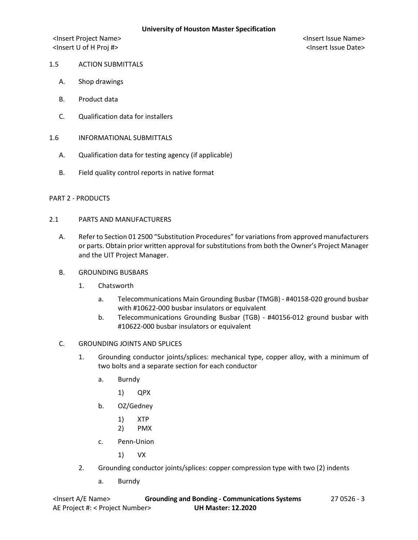<Insert Project Name> <Insert Issue Name> <Insert U of H Proj #> <Insert Issue Date>

# 1.5 ACTION SUBMITTALS

- A. Shop drawings
- B. Product data
- C. Qualification data for installers
- 1.6 INFORMATIONAL SUBMITTALS
	- A. Qualification data for testing agency (if applicable)
	- B. Field quality control reports in native format

### PART 2 - PRODUCTS

## 2.1 PARTS AND MANUFACTURERS

- A. Refer to Section 01 2500 "Substitution Procedures" for variations from approved manufacturers or parts. Obtain prior written approval for substitutions from both the Owner's Project Manager and the UIT Project Manager.
- B. GROUNDING BUSBARS
	- 1. Chatsworth
		- a. Telecommunications Main Grounding Busbar (TMGB) #40158-020 ground busbar with #10622-000 busbar insulators or equivalent
		- b. Telecommunications Grounding Busbar (TGB) #40156-012 ground busbar with #10622-000 busbar insulators or equivalent
- C. GROUNDING JOINTS AND SPLICES
	- 1. Grounding conductor joints/splices: mechanical type, copper alloy, with a minimum of two bolts and a separate section for each conductor
		- a. Burndy
			- 1) QPX
		- b. OZ/Gedney
			- 1) XTP
			- 2) PMX
		- c. Penn-Union

1) VX

- 2. Grounding conductor joints/splices: copper compression type with two (2) indents
	- a. Burndy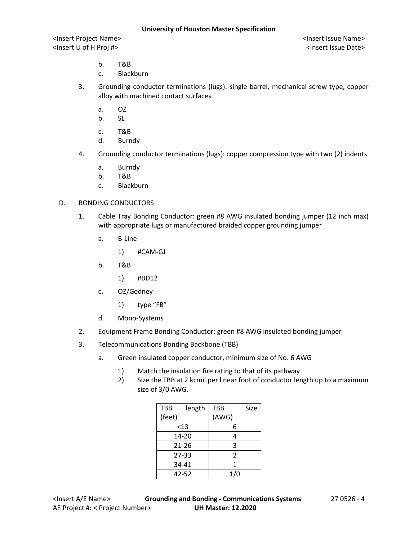<Insert Project Name> <Insert Issue Name> <Insert U of H Proj #> <Insert Issue Date>

- b. T&B
- c. Blackburn
- 3. Grounding conductor terminations (lugs): single barrel, mechanical screw type, copper alloy with machined contact surfaces
	- a. OZ
	- b. SL
	- c. T&B
	- d. Burndy
- 4. Grounding conductor terminations (lugs): copper compression type with two (2) indents
	- a. Burndy
	- b. T&B
	- c. Blackburn

### D. BONDING CONDUCTORS

- 1. Cable Tray Bonding Conductor: green #8 AWG insulated bonding jumper (12 inch max) with appropriate lugs or manufactured braided copper grounding jumper
	- a. B-Line
		- 1) #CAM-GJ
	- b. T&B
		- 1) #BD12
	- c. OZ/Gedney
		- 1) type "FB"
	- d. Mono-Systems
- 2. Equipment Frame Bonding Conductor: green #8 AWG insulated bonding jumper
- 3. Telecommunications Bonding Backbone (TBB)
	- a. Green insulated copper conductor, minimum size of No. 6 AWG
		- 1) Match the insulation fire rating to that of its pathway
		- 2) Size the TBB at 2 kcmil per linear foot of conductor length up to a maximum size of 3/0 AWG.

| <b>TBB</b> | length | TBB                      | Size |
|------------|--------|--------------------------|------|
| (feet)     |        | (AWG)                    |      |
| <13        |        | 6                        |      |
| 14-20      |        | 4                        |      |
| 21-26      |        | 3                        |      |
| $27 - 33$  |        | $\overline{\mathcal{L}}$ |      |
| 34-41      |        | 1                        |      |
| 42-52      |        | 1/0                      |      |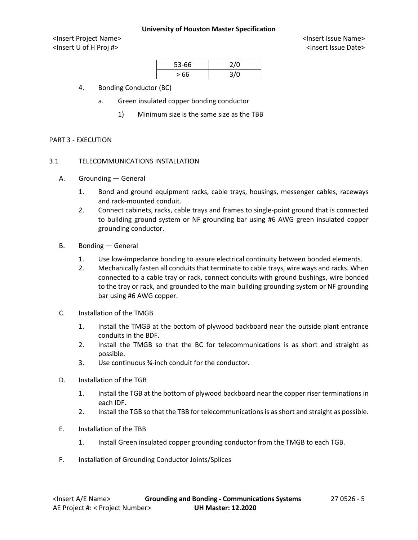<Insert Project Name> <Insert Issue Name> <Insert U of H Proj #> <Insert Issue Date>

| 53-66 | 2/0  |
|-------|------|
| >66   | 3 IN |

- 4. Bonding Conductor (BC)
	- a. Green insulated copper bonding conductor
		- 1) Minimum size is the same size as the TBB

#### PART 3 - EXECUTION

## 3.1 TELECOMMUNICATIONS INSTALLATION

- A. Grounding General
	- 1. Bond and ground equipment racks, cable trays, housings, messenger cables, raceways and rack-mounted conduit.
	- 2. Connect cabinets, racks, cable trays and frames to single-point ground that is connected to building ground system or NF grounding bar using #6 AWG green insulated copper grounding conductor.
- B. Bonding General
	- 1. Use low-impedance bonding to assure electrical continuity between bonded elements.
	- 2. Mechanically fasten all conduits that terminate to cable trays, wire ways and racks. When connected to a cable tray or rack, connect conduits with ground bushings, wire bonded to the tray or rack, and grounded to the main building grounding system or NF grounding bar using #6 AWG copper.
- C. Installation of the TMGB
	- 1. Install the TMGB at the bottom of plywood backboard near the outside plant entrance conduits in the BDF.
	- 2. Install the TMGB so that the BC for telecommunications is as short and straight as possible.
	- 3. Use continuous ¾-inch conduit for the conductor.
- D. Installation of the TGB
	- 1. Install the TGB at the bottom of plywood backboard near the copper riser terminations in each IDF.
	- 2. Install the TGB so that the TBB for telecommunications is as short and straight as possible.
- E. Installation of the TBB
	- 1. Install Green insulated copper grounding conductor from the TMGB to each TGB.
- F. Installation of Grounding Conductor Joints/Splices